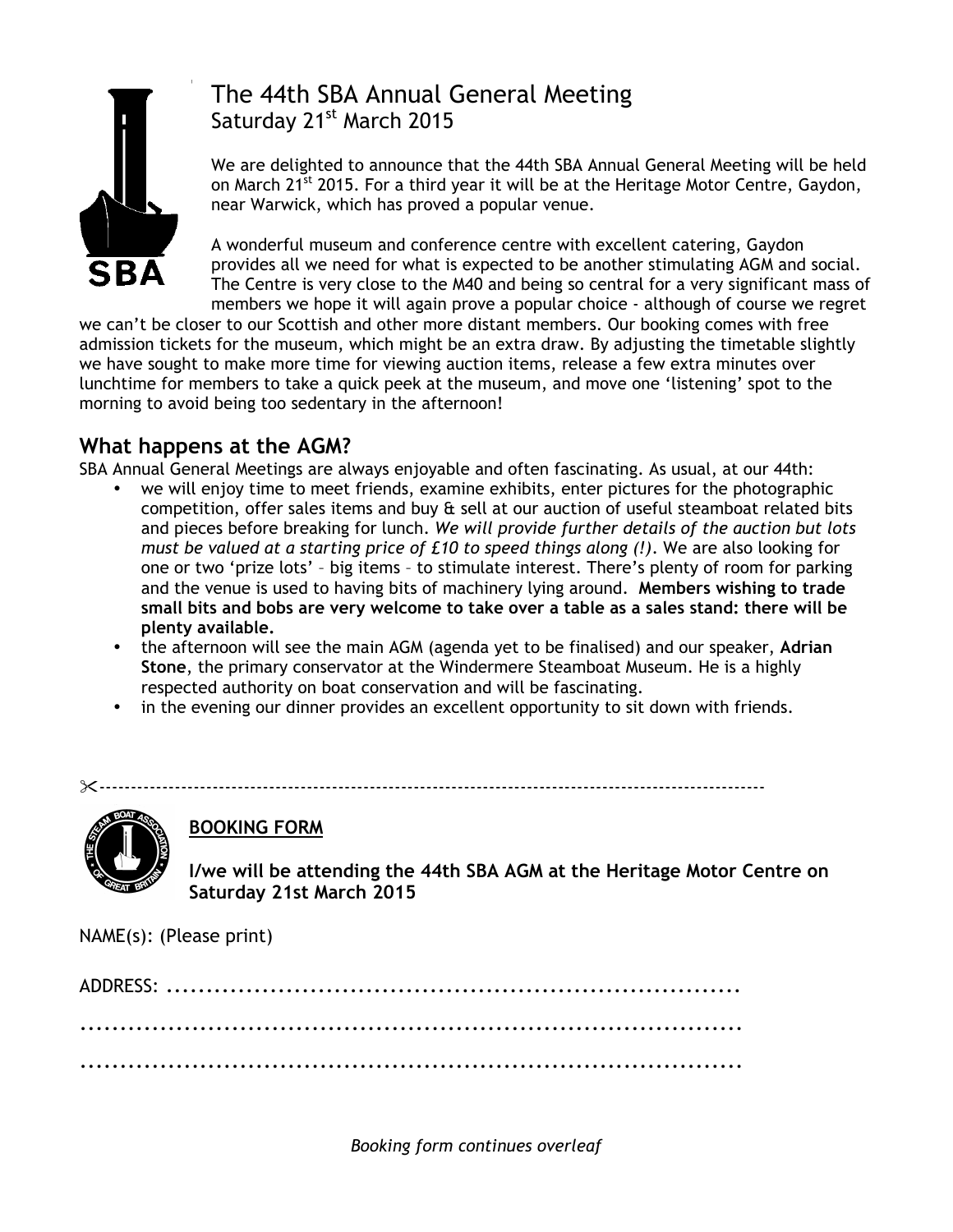

# The 44th SBA Annual General Meeting Saturday 21<sup>st</sup> March 2015

We are delighted to announce that the 44th SBA Annual General Meeting will be held on March 21<sup>st</sup> 2015. For a third year it will be at the Heritage Motor Centre, Gaydon, near Warwick, which has proved a popular venue.

A wonderful museum and conference centre with excellent catering, Gaydon provides all we need for what is expected to be another stimulating AGM and social. The Centre is very close to the M40 and being so central for a very significant mass of members we hope it will again prove a popular choice - although of course we regret

we can't be closer to our Scottish and other more distant members. Our booking comes with free admission tickets for the museum, which might be an extra draw. By adjusting the timetable slightly we have sought to make more time for viewing auction items, release a few extra minutes over lunchtime for members to take a quick peek at the museum, and move one 'listening' spot to the morning to avoid being too sedentary in the afternoon!

## **What happens at the AGM?**

SBA Annual General Meetings are always enjoyable and often fascinating. As usual, at our 44th:

- we will enjoy time to meet friends, examine exhibits, enter pictures for the photographic competition, offer sales items and buy & sell at our auction of useful steamboat related bits and pieces before breaking for lunch. *We will provide further details of the auction but lots must be valued at a starting price of £10 to speed things along (!)*. We are also looking for one or two 'prize lots' – big items – to stimulate interest. There's plenty of room for parking and the venue is used to having bits of machinery lying around. **Members wishing to trade small bits and bobs are very welcome to take over a table as a sales stand: there will be plenty available.**
- the afternoon will see the main AGM (agenda yet to be finalised) and our speaker, **Adrian Stone**, the primary conservator at the Windermere Steamboat Museum. He is a highly respected authority on boat conservation and will be fascinating.
- in the evening our dinner provides an excellent opportunity to sit down with friends.

!----------------------------------------------------------------------------------------------------------



## **BOOKING FORM**

**I/we will be attending the 44th SBA AGM at the Heritage Motor Centre on Saturday 21st March 2015**

NAME(s): (Please print)

*Booking form continues overleaf*